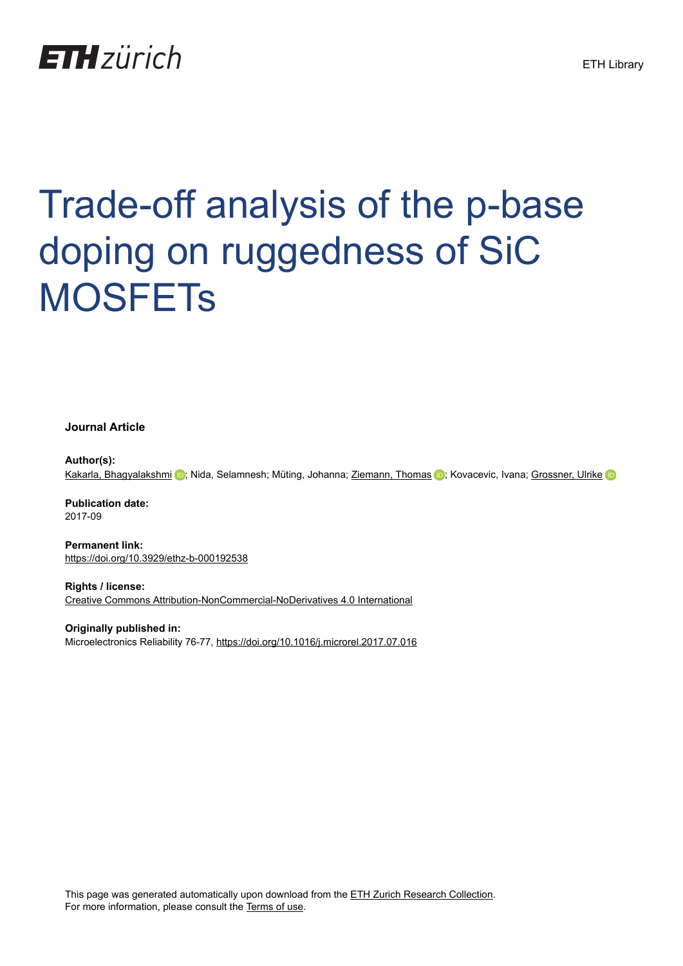# **ETH**zürich

# Trade-off analysis of the p-base doping on ruggedness of SiC **MOSFETs**

**Journal Article**

**Author(s):** [Kakarla, Bhagyalakshmi](https://orcid.org/0000-0002-9199-0710) (D; Nida, Selamnesh; Müting, Johanna; [Ziemann, Thomas](https://orcid.org/0000-0001-5159-4919) (D; Kovacevic, Ivana; [Grossner, Ulrike](https://orcid.org/0000-0002-2495-8550)

**Publication date:** 2017-09

**Permanent link:** <https://doi.org/10.3929/ethz-b-000192538>

**Rights / license:** [Creative Commons Attribution-NonCommercial-NoDerivatives 4.0 International](http://creativecommons.org/licenses/by-nc-nd/4.0/)

**Originally published in:** Microelectronics Reliability 76-77, <https://doi.org/10.1016/j.microrel.2017.07.016>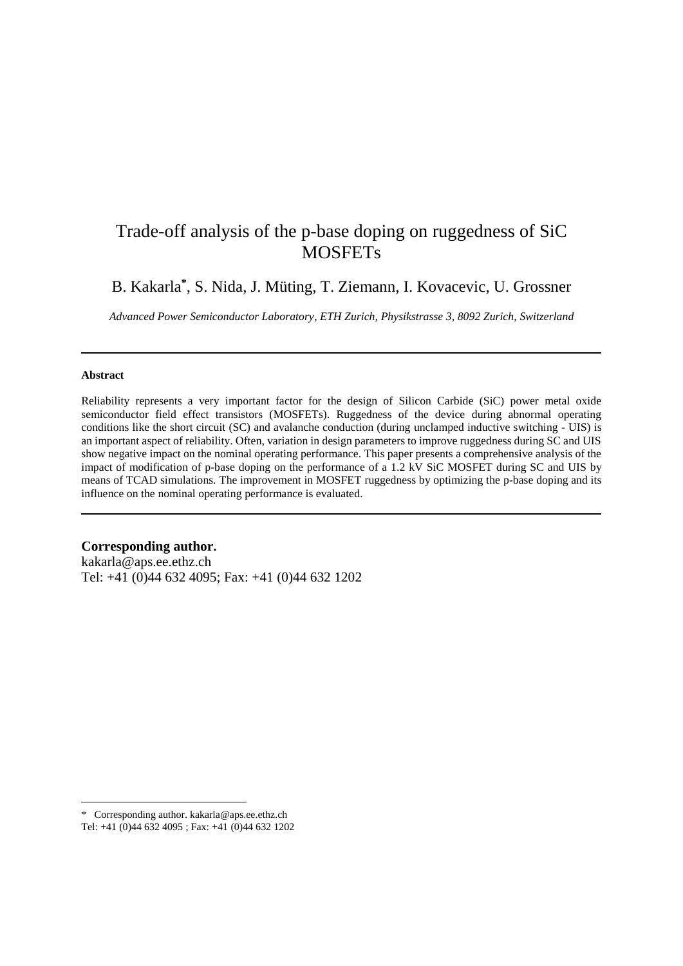# Trade-off analysis of the p-base doping on ruggedness of SiC **MOSFETs**

B. Kakarla**\*** , S. Nida, J. Müting, T. Ziemann, I. Kovacevic, U. Grossner

*Advanced Power Semiconductor Laboratory, ETH Zurich, Physikstrasse 3, 8092 Zurich, Switzerland* 

#### **Abstract**

 $\overline{a}$ 

Reliability represents a very important factor for the design of Silicon Carbide (SiC) power metal oxide semiconductor field effect transistors (MOSFETs). Ruggedness of the device during abnormal operating conditions like the short circuit (SC) and avalanche conduction (during unclamped inductive switching - UIS) is an important aspect of reliability. Often, variation in design parameters to improve ruggedness during SC and UIS show negative impact on the nominal operating performance. This paper presents a comprehensive analysis of the impact of modification of p-base doping on the performance of a 1.2 kV SiC MOSFET during SC and UIS by means of TCAD simulations. The improvement in MOSFET ruggedness by optimizing the p-base doping and its influence on the nominal operating performance is evaluated.

**Corresponding author.** 

kakarla@aps.ee.ethz.ch Tel: +41 (0)44 632 4095; Fax: +41 (0)44 632 1202

<sup>\*</sup> Corresponding author. kakarla@aps.ee.ethz.ch Tel: +41 (0)44 632 4095 ; Fax: +41 (0)44 632 1202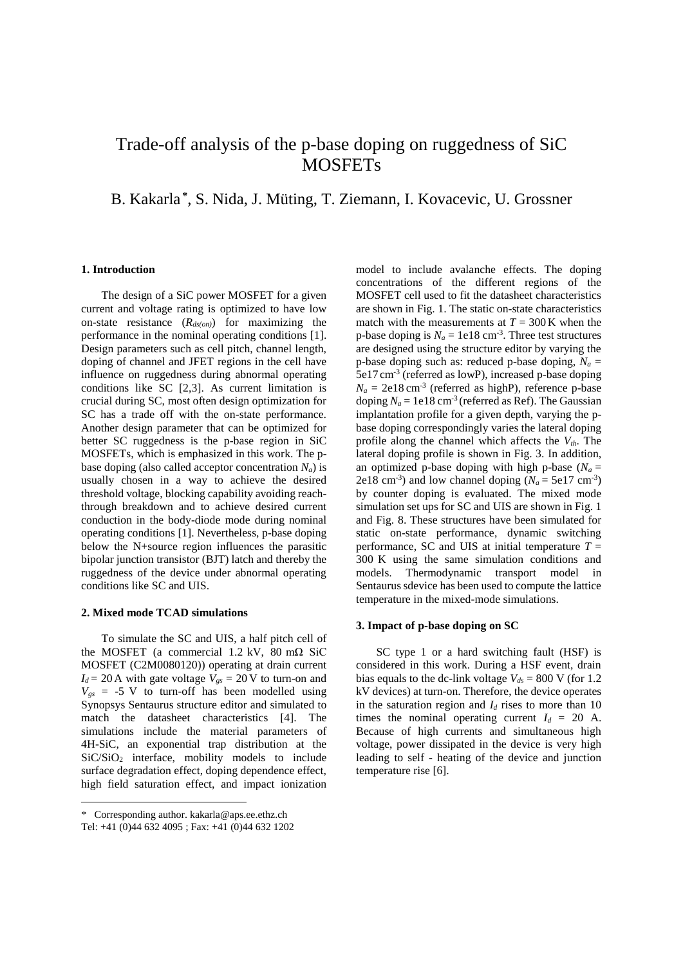# Trade-off analysis of the p-base doping on ruggedness of SiC **MOSFETs**

### B. Kakarla **\*** , S. Nida, J. Müting, T. Ziemann, I. Kovacevic, U. Grossner

#### **1. Introduction**

The design of a SiC power MOSFET for a given current and voltage rating is optimized to have low on-state resistance (*Rds(on)*) for maximizing the performance in the nominal operating conditions [1]. Design parameters such as cell pitch, channel length, doping of channel and JFET regions in the cell have influence on ruggedness during abnormal operating conditions like SC [2,3]. As current limitation is crucial during SC, most often design optimization for SC has a trade off with the on-state performance. Another design parameter that can be optimized for better SC ruggedness is the p-base region in SiC MOSFETs, which is emphasized in this work. The pbase doping (also called acceptor concentration  $N_a$ ) is usually chosen in a way to achieve the desired threshold voltage, blocking capability avoiding reachthrough breakdown and to achieve desired current conduction in the body-diode mode during nominal operating conditions [1]. Nevertheless, p-base doping below the N+source region influences the parasitic bipolar junction transistor (BJT) latch and thereby the ruggedness of the device under abnormal operating conditions like SC and UIS.

#### **2. Mixed mode TCAD simulations**

To simulate the SC and UIS, a half pitch cell of the MOSFET (a commercial 1.2 kV,  $\overline{80}$  m $\Omega$  SiC MOSFET (C2M0080120)) operating at drain current  $I_d = 20$  A with gate voltage  $V_{gs} = 20$  V to turn-on and  $V_{gs}$  = -5 V to turn-off has been modelled using Synopsys Sentaurus structure editor and simulated to match the datasheet characteristics [4]. The simulations include the material parameters of 4H-SiC, an exponential trap distribution at the SiC/SiO<sup>2</sup> interface, mobility models to include surface degradation effect, doping dependence effect, high field saturation effect, and impact ionization

 $\overline{a}$ 

model to include avalanche effects. The doping concentrations of the different regions of the MOSFET cell used to fit the datasheet characteristics are shown in Fig. 1. The static on-state characteristics match with the measurements at  $T = 300$  K when the p-base doping is  $N_a = 1e18$  cm<sup>-3</sup>. Three test structures are designed using the structure editor by varying the p-base doping such as: reduced p-base doping,  $N_a$  = 5e17 cm-3 (referred as lowP), increased p-base doping  $N_a = 2e18 \text{ cm}^{-3}$  (referred as highP), reference p-base doping  $N_a = 1e18$  cm<sup>-3</sup> (referred as Ref). The Gaussian implantation profile for a given depth, varying the pbase doping correspondingly varies the lateral doping profile along the channel which affects the *Vth*. The lateral doping profile is shown in Fig. 3. In addition, an optimized p-base doping with high p-base ( $N_a$  = 2e18 cm<sup>-3</sup>) and low channel doping  $(N_a = 5e17 \text{ cm}^{-3})$ by counter doping is evaluated. The mixed mode simulation set ups for SC and UIS are shown in Fig. 1 and Fig. 8. These structures have been simulated for static on-state performance, dynamic switching performance, SC and UIS at initial temperature  $T =$ 300 K using the same simulation conditions and models. Thermodynamic transport model in Sentaurus sdevice has been used to compute the lattice temperature in the mixed-mode simulations.

#### **3. Impact of p-base doping on SC**

SC type 1 or a hard switching fault (HSF) is considered in this work. During a HSF event, drain bias equals to the dc-link voltage  $V_{ds}$  = 800 V (for 1.2) kV devices) at turn-on. Therefore, the device operates in the saturation region and  $I_d$  rises to more than 10 times the nominal operating current  $I_d = 20$  A. Because of high currents and simultaneous high voltage, power dissipated in the device is very high leading to self - heating of the device and junction temperature rise [6].

<sup>\*</sup> Corresponding author. kakarla@aps.ee.ethz.ch

Tel: +41 (0)44 632 4095 ; Fax: +41 (0)44 632 1202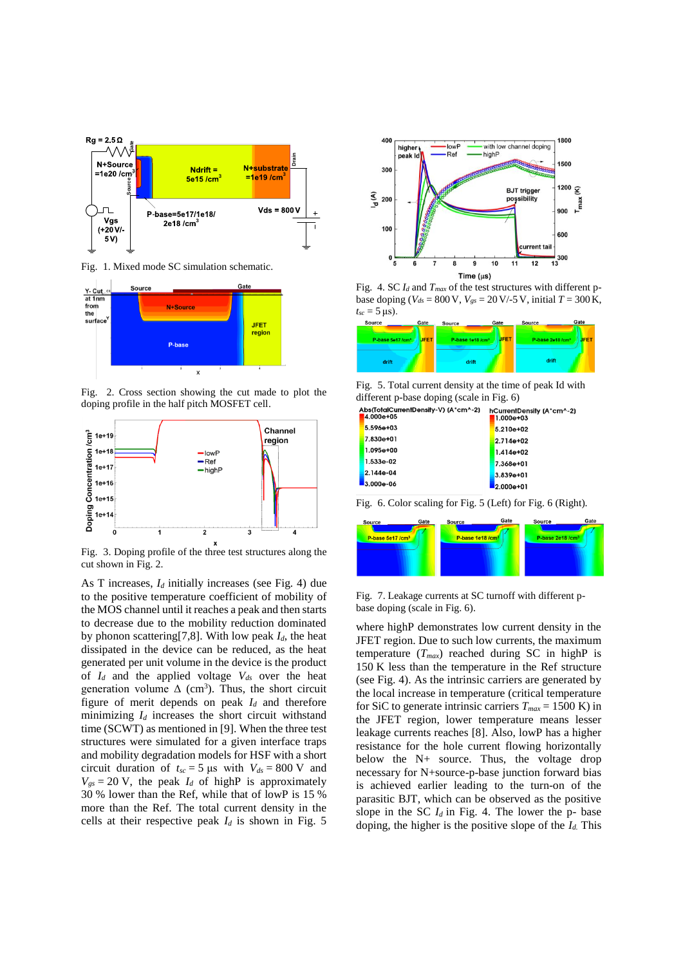

Fig. 1. Mixed mode SC simulation schematic.



Fig. 2. Cross section showing the cut made to plot the doping profile in the half pitch MOSFET cell.



Fig. 3. Doping profile of the three test structures along the cut shown in Fig. 2.

As T increases, *I<sup>d</sup>* initially increases (see Fig. 4) due to the positive temperature coefficient of mobility of the MOS channel until it reaches a peak and then starts to decrease due to the mobility reduction dominated by phonon scattering[7,8]. With low peak  $I_d$ , the heat dissipated in the device can be reduced, as the heat generated per unit volume in the device is the product of  $I_d$  and the applied voltage  $V_{ds}$  over the heat generation volume  $\Delta$  (cm<sup>3</sup>). Thus, the short circuit figure of merit depends on peak *I<sup>d</sup>* and therefore minimizing  $I_d$  increases the short circuit withstand time (SCWT) as mentioned in [9]. When the three test structures were simulated for a given interface traps and mobility degradation models for HSF with a short circuit duration of  $t_{sc} = 5 \text{ }\mu\text{s}$  with  $V_{ds} = 800 \text{ V}$  and  $V_{gs} = 20$  V, the peak  $I_d$  of highP is approximately 30 % lower than the Ref, while that of lowP is 15 % more than the Ref. The total current density in the cells at their respective peak  $I_d$  is shown in Fig. 5



Fig. 4. SC *I<sup>d</sup>* and *Tmax* of the test structures with different pbase doping ( $V_{ds} = 800 \text{ V}$ ,  $V_{gs} = 20 \text{ V}$ /-5 V, initial  $T = 300 \text{ K}$ ,  $t_{sc} = 5 \,\mu s$ ).



Fig. 5. Total current density at the time of peak Id with different p-base doping (scale in Fig. 6)

| \bs(TotalCurrentDensity-V) (A*cm^-2)<br>$14.000e + 05$ | hCurrentDensity (A*cm^-2)<br>1.000e+03 |
|--------------------------------------------------------|----------------------------------------|
| 5.596e+03                                              | 5.210e+02                              |
| $7.830e + 01$                                          | $2.714e + 02$                          |
| $1.095e + 00$                                          | $1.414e + 02$                          |
| $1.533e-02$                                            | 7.368e+01                              |
| $2.144e-04$                                            | 3.839e+01                              |
| $3.000e-06$                                            | $2.000e + 01$                          |

Fig. 6. Color scaling for Fig. 5 (Left) for Fig. 6 (Right).



Fig. 7. Leakage currents at SC turnoff with different pbase doping (scale in Fig. 6).

where highP demonstrates low current density in the JFET region. Due to such low currents, the maximum temperature  $(T_{max})$  reached during SC in highP is 150 K less than the temperature in the Ref structure (see Fig. 4). As the intrinsic carriers are generated by the local increase in temperature (critical temperature for SiC to generate intrinsic carriers  $T_{max} = 1500 \text{ K}$ ) in the JFET region, lower temperature means lesser leakage currents reaches [8]. Also, lowP has a higher resistance for the hole current flowing horizontally below the N+ source. Thus, the voltage drop necessary for N+source-p-base junction forward bias is achieved earlier leading to the turn-on of the parasitic BJT, which can be observed as the positive slope in the SC  $I_d$  in Fig. 4. The lower the p- base doping, the higher is the positive slope of the *Id.* This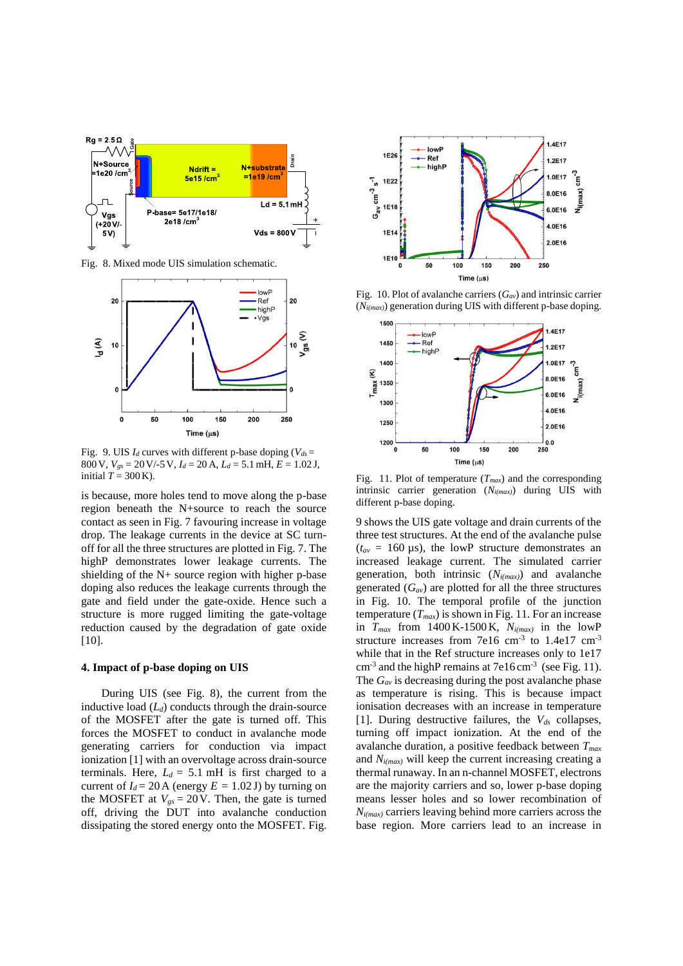

Fig. 8. Mixed mode UIS simulation schematic.



Fig. 9. UIS  $I_d$  curves with different p-base doping ( $V_{ds}$  = 800V, *Vgs* = 20V/-5V, *I<sup>d</sup>* = 20 A, *L<sup>d</sup>* = 5.1mH, *E* = 1.02 J, initial  $T = 300$  K).

is because, more holes tend to move along the p-base region beneath the N+source to reach the source contact as seen in Fig. 7 favouring increase in voltage drop. The leakage currents in the device at SC turnoff for all the three structures are plotted in Fig. 7. The highP demonstrates lower leakage currents. The shielding of the N+ source region with higher p-base doping also reduces the leakage currents through the gate and field under the gate-oxide. Hence such a structure is more rugged limiting the gate-voltage reduction caused by the degradation of gate oxide [10].

#### **4. Impact of p-base doping on UIS**

During UIS (see Fig. 8), the current from the inductive load (*Ld*) conducts through the drain-source of the MOSFET after the gate is turned off. This forces the MOSFET to conduct in avalanche mode generating carriers for conduction via impact ionization [1] with an overvoltage across drain-source terminals. Here,  $L_d = 5.1$  mH is first charged to a current of  $I_d = 20$  A (energy  $E = 1.02$  J) by turning on the MOSFET at  $V_{gs} = 20$  V. Then, the gate is turned off, driving the DUT into avalanche conduction dissipating the stored energy onto the MOSFET. Fig.



Fig. 10. Plot of avalanche carriers (*Gav*) and intrinsic carrier (*Ni(max)*) generation during UIS with different p-base doping.



Fig. 11. Plot of temperature (*Tmax*) and the corresponding intrinsic carrier generation (*Ni(max)*) during UIS with different p-base doping.

9 shows the UIS gate voltage and drain currents of the three test structures. At the end of the avalanche pulse  $(t_{av} = 160 \,\mu s)$ , the lowP structure demonstrates an increased leakage current. The simulated carrier generation, both intrinsic (*Ni(max)*) and avalanche generated  $(G_{av})$  are plotted for all the three structures in Fig. 10. The temporal profile of the junction temperature  $(T_{max})$  is shown in Fig. 11. For an increase in *Tmax* from 1400 K-1500K, *Ni(max)* in the lowP structure increases from  $7e16 \text{ cm}^{-3}$  to  $1.4e17 \text{ cm}^{-3}$ while that in the Ref structure increases only to 1e17  $\text{cm}^{-3}$  and the highP remains at 7e16 cm<sup>-3</sup> (see Fig. 11). The *Gav* is decreasing during the post avalanche phase as temperature is rising. This is because impact ionisation decreases with an increase in temperature [1]. During destructive failures, the *Vds* collapses, turning off impact ionization. At the end of the avalanche duration, a positive feedback between *Tmax* and *Ni(max)* will keep the current increasing creating a thermal runaway. In an n-channel MOSFET, electrons are the majority carriers and so, lower p-base doping means lesser holes and so lower recombination of *Ni(max)* carriers leaving behind more carriers across the base region. More carriers lead to an increase in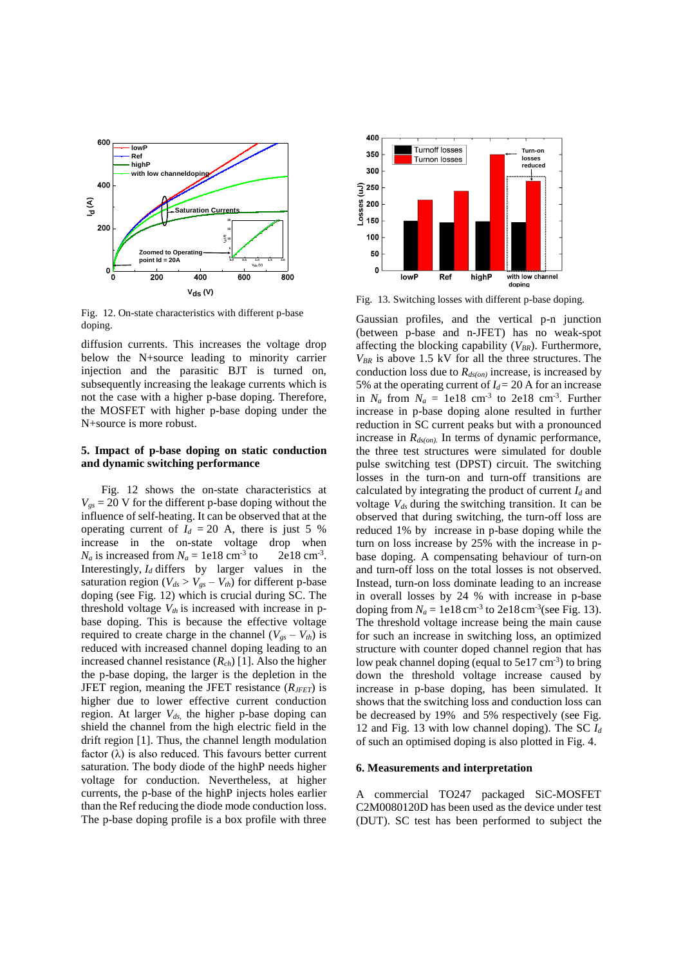

Fig. 12. On-state characteristics with different p-base doping.

diffusion currents. This increases the voltage drop below the N+source leading to minority carrier injection and the parasitic BJT is turned on, subsequently increasing the leakage currents which is not the case with a higher p-base doping. Therefore, the MOSFET with higher p-base doping under the N+source is more robust.

#### **5. Impact of p-base doping on static conduction and dynamic switching performance**

Fig. 12 shows the on-state characteristics at  $V_{gs}$  = 20 V for the different p-base doping without the influence of self-heating. It can be observed that at the operating current of  $I_d = 20$  A, there is just 5 % increase in the on-state voltage drop when  $N_a$  is increased from  $N_a = 1e18$  cm<sup>-3</sup> to to  $2e18 \text{ cm}^{-3}$ . Interestingly, *I<sup>d</sup>* differs by larger values in the saturation region ( $V_{ds} > V_{gs} - V_{th}$ ) for different p-base doping (see Fig. 12) which is crucial during SC. The threshold voltage  $V_{th}$  is increased with increase in pbase doping. This is because the effective voltage required to create charge in the channel  $(V_{gs} - V_{th})$  is reduced with increased channel doping leading to an increased channel resistance (*Rch*) [1]. Also the higher the p-base doping, the larger is the depletion in the JFET region, meaning the JFET resistance (*RJFET*) is higher due to lower effective current conduction region. At larger *Vds,* the higher p-base doping can shield the channel from the high electric field in the drift region [1]. Thus, the channel length modulation factor  $(\lambda)$  is also reduced. This favours better current saturation. The body diode of the highP needs higher voltage for conduction. Nevertheless, at higher currents, the p-base of the highP injects holes earlier than the Ref reducing the diode mode conduction loss. The p-base doping profile is a box profile with three



Fig. 13. Switching losses with different p-base doping.

Gaussian profiles, and the vertical p-n junction (between p-base and n-JFET) has no weak-spot affecting the blocking capability (*VBR*). Furthermore,  $V_{BR}$  is above 1.5 kV for all the three structures. The conduction loss due to  $R_{ds(on)}$  increase, is increased by 5% at the operating current of  $I_d$  = 20 A for an increase in  $N_a$  from  $N_a = 1e18$  cm<sup>-3</sup> to 2e18 cm<sup>-3</sup>. Further increase in p-base doping alone resulted in further reduction in SC current peaks but with a pronounced increase in *Rds(on).* In terms of dynamic performance, the three test structures were simulated for double pulse switching test (DPST) circuit. The switching losses in the turn-on and turn-off transitions are calculated by integrating the product of current *I<sup>d</sup>* and voltage *Vds* during the switching transition. It can be observed that during switching, the turn-off loss are reduced 1% by increase in p-base doping while the turn on loss increase by 25% with the increase in pbase doping. A compensating behaviour of turn-on and turn-off loss on the total losses is not observed. Instead, turn-on loss dominate leading to an increase in overall losses by 24 % with increase in p-base doping from  $N_a = 1e18 \text{ cm}^{-3}$  to  $2e18 \text{ cm}^{-3}$  (see Fig. 13). The threshold voltage increase being the main cause for such an increase in switching loss, an optimized structure with counter doped channel region that has low peak channel doping (equal to  $5e17 \text{ cm}^{-3}$ ) to bring down the threshold voltage increase caused by increase in p-base doping, has been simulated. It shows that the switching loss and conduction loss can be decreased by 19% and 5% respectively (see Fig. 12 and Fig. 13 with low channel doping). The SC *I<sup>d</sup>* of such an optimised doping is also plotted in Fig. 4.

#### **6. Measurements and interpretation**

A commercial TO247 packaged SiC-MOSFET C2M0080120D has been used as the device under test (DUT). SC test has been performed to subject the